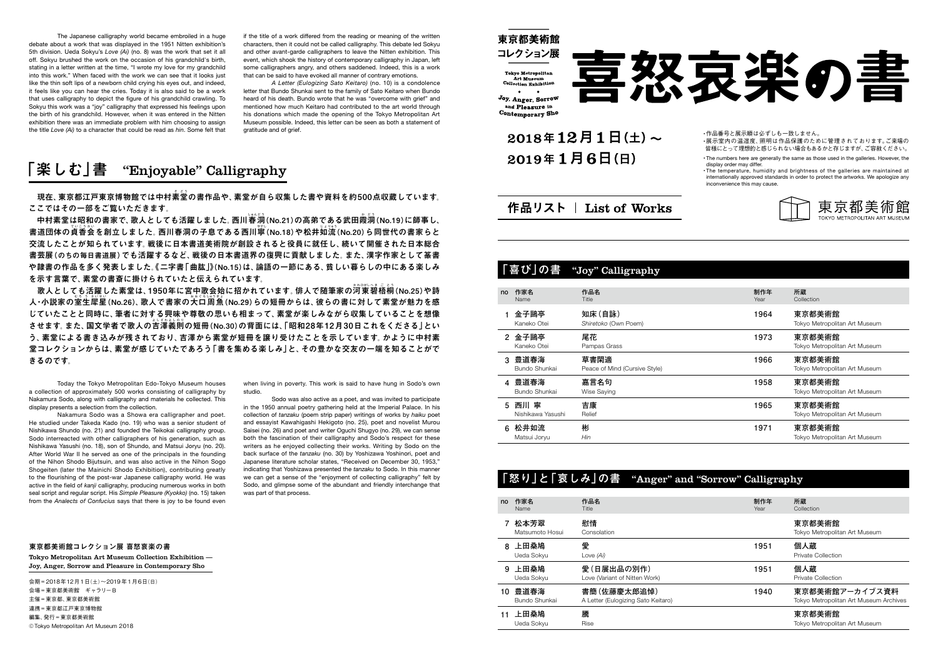|    |                              | 「喜び」の書 "Joy" Calligraphy              |             |                                         |
|----|------------------------------|---------------------------------------|-------------|-----------------------------------------|
| no | 作家名<br>Name                  | 作品名<br>Title                          | 制作年<br>Year | 所蔵<br>Collection                        |
|    | 金子鷗亭<br>Kaneko Otei          | 知床(自詠)<br>Shiretoko (Own Poem)        | 1964        | 東京都美術館<br>Tokyo Metropolitan Art Museum |
| 2  | 金子鷗亭<br>Kaneko Otei          | 尾花<br>Pampas Grass                    | 1973        | 東京都美術館<br>Tokyo Metropolitan Art Museum |
| 3  | 豊道春海<br>Bundo Shunkai        | 草書閑適<br>Peace of Mind (Cursive Style) | 1966        | 東京都美術館<br>Tokyo Metropolitan Art Museum |
| 4  | 豊道春海<br>Bundo Shunkai        | 嘉言名句<br>Wise Saying                   | 1958        | 東京都美術館<br>Tokyo Metropolitan Art Museum |
| 5  | 西川<br>寧<br>Nishikawa Yasushi | 吉康<br>Relief                          | 1965        | 東京都美術館<br>Tokyo Metropolitan Art Museum |
| 6  | 松井如流<br>Matsui Joryu         | 彬<br>Hin                              | 1971        | 東京都美術館<br>Tokyo Metropolitan Art Museum |

• The numbers here are generally the same as those used in the galleries. However, the display order may differ.

| 「怒り」と「哀しみ」の書 "Anger" and "Sorrow" Calligraphy |                         |                                             |                                    |  |             |                                                          |  |  |  |
|-----------------------------------------------|-------------------------|---------------------------------------------|------------------------------------|--|-------------|----------------------------------------------------------|--|--|--|
| no                                            | 作家名<br>Name             | 作品名<br>Title                                |                                    |  | 制作年<br>Year | 所蔵<br>Collection                                         |  |  |  |
|                                               | 松本芳翠<br>Matsumoto Hosui | 慰情<br>Consolation                           |                                    |  |             | 東京都美術館<br>Tokyo Metropolitan Art Museum                  |  |  |  |
| 8                                             | 上田桑鳩<br>Ueda Sokyu      | 愛<br>Love (Ai)                              |                                    |  | 1951        | 個人蔵<br><b>Private Collection</b>                         |  |  |  |
| 9                                             | 上田桑鳩<br>Ueda Sokyu      | 愛(日展出品の別作)<br>Love (Variant of Nitten Work) |                                    |  | 1951        | 個人蔵<br><b>Private Collection</b>                         |  |  |  |
| 10                                            | 豊道春海<br>Bundo Shunkai   | 書簡(佐藤慶太郎追悼)                                 | A Letter (Eulogizing Sato Keitaro) |  | 1940        | 東京都美術館アーカイブス資料<br>Tokyo Metropolitan Art Museum Archives |  |  |  |
|                                               | 上田桑鳩<br>Ueda Sokyu      | 騰<br>Rise                                   |                                    |  |             | 東京都美術館<br>Tokyo Metropolitan Art Museum                  |  |  |  |

喜怒哀楽の書

•作品番号と展示順は必ずしも一致しません。 •展示室内の温湿度、照明は作品保護のために管理されております。ご来場の 皆様にとって理想的と感じられない場合もあるかと存じますが、ご容赦ください。

• The temperature, humidity and brightness of the galleries are maintained at internationally approved standards in order to protect the artworks. We apologize any inconvenience this may cause.



—現在、東京都江戸東京博物館では中村素堂の書作品や、素堂が自ら収集した書や資料を約500点収蔵しています。 **ここではその一部をご覧いただきます。**

一中村素堂は昭和の書家で、歌人としても活躍しました。西川<sup>※第1</sup>のKo.21)の高弟である武田霞洞(No.19)に師事し、 書道団体の貞香会を創立しました。 西川春洞の子息である西川寧(No.18)や松井如流(No.20)ら同世代の書家らと **交流したことが知られています。戦後に日本書道美術院が創設されると役員に就任し、続いて開催された日本総合 書芸展(のちの毎日書道展)でも活躍するなど、戦後の日本書道界の復興に貢献しました。また、漢字作家として篆書 や隷書の作品を多く発表しました。《二字書「曲肱」》(No.15)は、論語の一節にある、貧しい暮らしの中にある楽しみ を示す言葉で、素堂の書斎に掛けられていたと伝えられています。**

The Japanese calligraphy world became embroiled in a huge debate about a work that was displayed in the 1951 Nitten exhibition's 5th division. Ueda Sokyu's *Love (Ai)* (no. 8) was the work that set it all off. Sokyu brushed the work on the occasion of his grandchild's birth, stating in a letter written at the time, "I wrote my love for my grandchild into this work." When faced with the work we can see that it looks just like the thin soft lips of a newborn child crying his eyes out, and indeed, it feels like you can hear the cries. Today it is also said to be a work that uses calligraphy to depict the figure of his grandchild crawling. To Sokyu this work was a "joy" calligraphy that expressed his feelings upon the birth of his grandchild. However, when it was entered in the Nitten exhibition there was an immediate problem with him choosing to assign the title *Love (Ai)* to a character that could be read as *hin*. Some felt that

——歌人としても活躍した素堂は、1950年に宮中歌会始に招かれています。俳人で随筆家の<sup>約364公望をお</sup>。<br>- トランス 人・小説家の<sup>[多る]</sup>態と(No.26)、歌人で書家の大口周魚(No.29)らの短冊からは、彼らの書に対して素堂が魅力を感 **じていたことと同時に、筆者に対する興味や尊敬の思いも相まって、素堂が楽しみながら収集していることを想像** させます。 また、 国文学者で歌人の苦澤義則の短冊(No.30)の背面には、「昭和28年12月30日これをくださる」とい **う、素堂による書き込みが残されており、吉澤から素堂が短冊を譲り受けたことを示しています。かように中村素 堂コレクションからは、素堂が感じていたであろう「書を集める楽しみ」と、その豊かな交友の一端を知ることがで きるのです。**

if the title of a work differed from the reading or meaning of the written characters, then it could not be called calligraphy. This debate led Sokyu and other avant-garde calligraphers to leave the Nitten exhibition. This event, which shook the history of contemporary calligraphy in Japan, left some calligraphers angry, and others saddened. Indeed, this is a work that can be said to have evoked all manner of contrary emotions.

*A Letter (Eulogizing Sato Keitaro)* (no. 10) is a condolence letter that Bundo Shunkai sent to the family of Sato Keitaro when Bundo heard of his death. Bundo wrote that he was "overcome with grief" and mentioned how much Keitaro had contributed to the art world through his donations which made the opening of the Tokyo Metropolitan Art Museum possible. Indeed, this letter can be seen as both a statement of gratitude and of grief.

## **「楽しむ」書** "Enjoyable" Calligraphy

Today the Tokyo Metropolitan Edo-Tokyo Museum houses a collection of approximately 500 works consisting of calligraphy by Nakamura Sodo, along with calligraphy and materials he collected. This display presents a selection from the collection.

Nakamura Sodo was a Showa era calligrapher and poet. He studied under Takeda Kado (no. 19) who was a senior student of Nishikawa Shundo (no. 21) and founded the Teikokai calligraphy group. Sodo interreacted with other calligraphers of his generation, such as Nishikawa Yasushi (no. 18), son of Shundo, and Matsui Joryu (no. 20). After World War II he served as one of the principals in the founding of the Nihon Shodo Bijutsuin, and was also active in the Nihon Sogo Shogeiten (later the Mainichi Shodo Exhibition), contributing greatly to the flourishing of the post-war Japanese calligraphy world. He was active in the field of *kanji* calligraphy, producing numerous works in both seal script and regular script. His *Simple Pleasure (Kyokko)* (no. 15) taken from the *Analects of Confucius* says that there is joy to be found even

when living in poverty. This work is said to have hung in Sodo's own studio.

Sodo was also active as a poet, and was invited to participate in the 1950 annual poetry gathering held at the Imperial Palace. In his collection of *tanzaku* (poem strip paper) writings of works by *haiku* poet and essayist Kawahigashi Hekigoto (no. 25), poet and novelist Murou Saisei (no. 26) and poet and writer Oguchi Shugyo (no. 29), we can sense both the fascination of their calligraphy and Sodo's respect for these writers as he enjoyed collecting their works. Writing by Sodo on the back surface of the *tanzaku* (no. 30) by Yoshizawa Yoshinori, poet and Japanese literature scholar states, "Received on December 30, 1953," indicating that Yoshizawa presented the *tanzaku* to Sodo. In this manner we can get a sense of the "enjoyment of collecting calligraphy" felt by Sodo, and glimpse some of the abundant and friendly interchange that was part of that process.

## **東京都美術館コレクション展 喜怒哀楽の書**

Tokyo Metropolitan Art Museum Collection Exhibition — Joy, Anger, Sorrow and Pleasure in Contemporary Sho

会期 = 2018年12月1日(土)~2019年1月6日(日) 会場 = 東京都美術館 ギャラリーB 主催 = 東京都、東京都美術館 連携=東京都江戸東京博物館 編集、発行 = 東京都美術館 ©Tokyo Metropolitan Art Museum 2018



 $2018412H1H(\pm)$ ~  $2019年1月6日 (日)$ 

 $\bullet$   $\bullet$